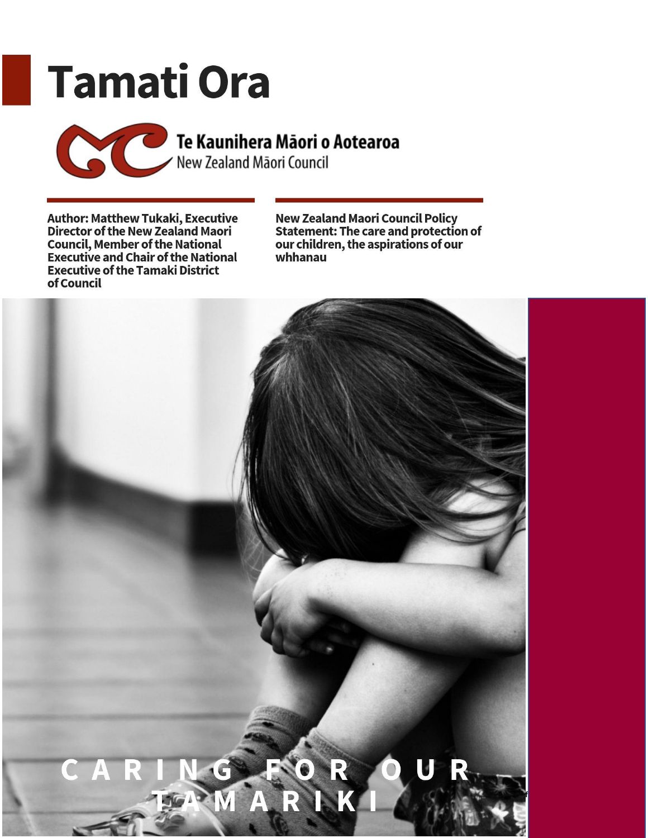# **Tamati Ora**

Te Kaunihera Māori o Aotearoa

Author: Matthew Tukaki, Executive<br>Director of the New Zealand Maori<br>Council, Member of the National<br>Executive and Chair of the National **Executive of the Tamaki District** of Council

New Zealand Maori Council Policy<br>Statement: The care and protection of<br>our children, the aspirations of our whhanau

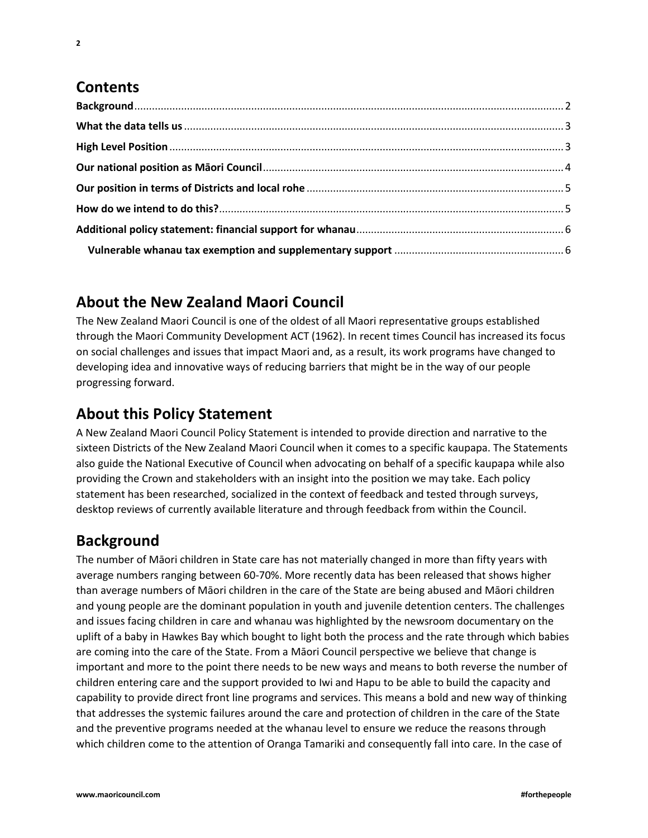# **Contents**

# <span id="page-1-0"></span>**About the New Zealand Maori Council**

The New Zealand Maori Council is one of the oldest of all Maori representative groups established through the Maori Community Development ACT (1962). In recent times Council has increased its focus on social challenges and issues that impact Maori and, as a result, its work programs have changed to developing idea and innovative ways of reducing barriers that might be in the way of our people progressing forward.

# **About this Policy Statement**

A New Zealand Maori Council Policy Statement is intended to provide direction and narrative to the sixteen Districts of the New Zealand Maori Council when it comes to a specific kaupapa. The Statements also guide the National Executive of Council when advocating on behalf of a specific kaupapa while also providing the Crown and stakeholders with an insight into the position we may take. Each policy statement has been researched, socialized in the context of feedback and tested through surveys, desktop reviews of currently available literature and through feedback from within the Council.

# **Background**

The number of Māori children in State care has not materially changed in more than fifty years with average numbers ranging between 60-70%. More recently data has been released that shows higher than average numbers of Māori children in the care of the State are being abused and Māori children and young people are the dominant population in youth and juvenile detention centers. The challenges and issues facing children in care and whanau was highlighted by the newsroom documentary on the uplift of a baby in Hawkes Bay which bought to light both the process and the rate through which babies are coming into the care of the State. From a Māori Council perspective we believe that change is important and more to the point there needs to be new ways and means to both reverse the number of children entering care and the support provided to Iwi and Hapu to be able to build the capacity and capability to provide direct front line programs and services. This means a bold and new way of thinking that addresses the systemic failures around the care and protection of children in the care of the State and the preventive programs needed at the whanau level to ensure we reduce the reasons through which children come to the attention of Oranga Tamariki and consequently fall into care. In the case of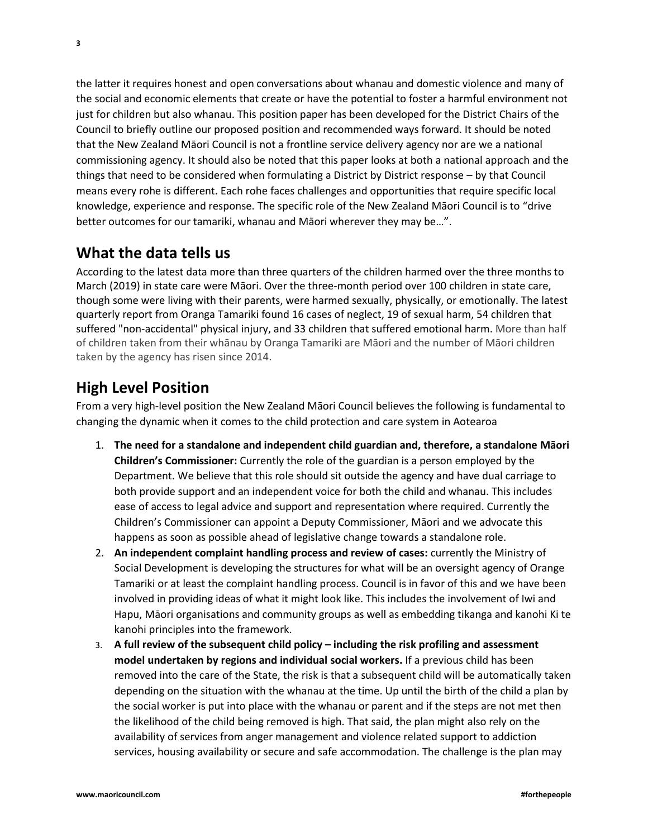the latter it requires honest and open conversations about whanau and domestic violence and many of the social and economic elements that create or have the potential to foster a harmful environment not just for children but also whanau. This position paper has been developed for the District Chairs of the Council to briefly outline our proposed position and recommended ways forward. It should be noted that the New Zealand Māori Council is not a frontline service delivery agency nor are we a national commissioning agency. It should also be noted that this paper looks at both a national approach and the things that need to be considered when formulating a District by District response – by that Council means every rohe is different. Each rohe faces challenges and opportunities that require specific local knowledge, experience and response. The specific role of the New Zealand Māori Council is to "drive better outcomes for our tamariki, whanau and Māori wherever they may be…".

#### <span id="page-2-0"></span>**What the data tells us**

According to the latest data more than three quarters of the children harmed over the three months to March (2019) in state care were Māori. Over the three-month period over 100 children in state care, though some were living with their parents, were harmed sexually, physically, or emotionally. The latest quarterly report from Oranga Tamariki found 16 cases of neglect, 19 of sexual harm, 54 children that suffered "non-accidental" physical injury, and 33 children that suffered emotional harm. More than half of children taken from their whānau by Oranga Tamariki are Māori and the number of Māori children taken by the agency has risen since 2014.

#### <span id="page-2-1"></span>**High Level Position**

From a very high-level position the New Zealand Māori Council believes the following is fundamental to changing the dynamic when it comes to the child protection and care system in Aotearoa

- 1. **The need for a standalone and independent child guardian and, therefore, a standalone Māori Children's Commissioner:** Currently the role of the guardian is a person employed by the Department. We believe that this role should sit outside the agency and have dual carriage to both provide support and an independent voice for both the child and whanau. This includes ease of access to legal advice and support and representation where required. Currently the Children's Commissioner can appoint a Deputy Commissioner, Māori and we advocate this happens as soon as possible ahead of legislative change towards a standalone role.
- 2. **An independent complaint handling process and review of cases:** currently the Ministry of Social Development is developing the structures for what will be an oversight agency of Orange Tamariki or at least the complaint handling process. Council is in favor of this and we have been involved in providing ideas of what it might look like. This includes the involvement of Iwi and Hapu, Māori organisations and community groups as well as embedding tikanga and kanohi Ki te kanohi principles into the framework.
- 3. **A full review of the subsequent child policy – including the risk profiling and assessment model undertaken by regions and individual social workers.** If a previous child has been removed into the care of the State, the risk is that a subsequent child will be automatically taken depending on the situation with the whanau at the time. Up until the birth of the child a plan by the social worker is put into place with the whanau or parent and if the steps are not met then the likelihood of the child being removed is high. That said, the plan might also rely on the availability of services from anger management and violence related support to addiction services, housing availability or secure and safe accommodation. The challenge is the plan may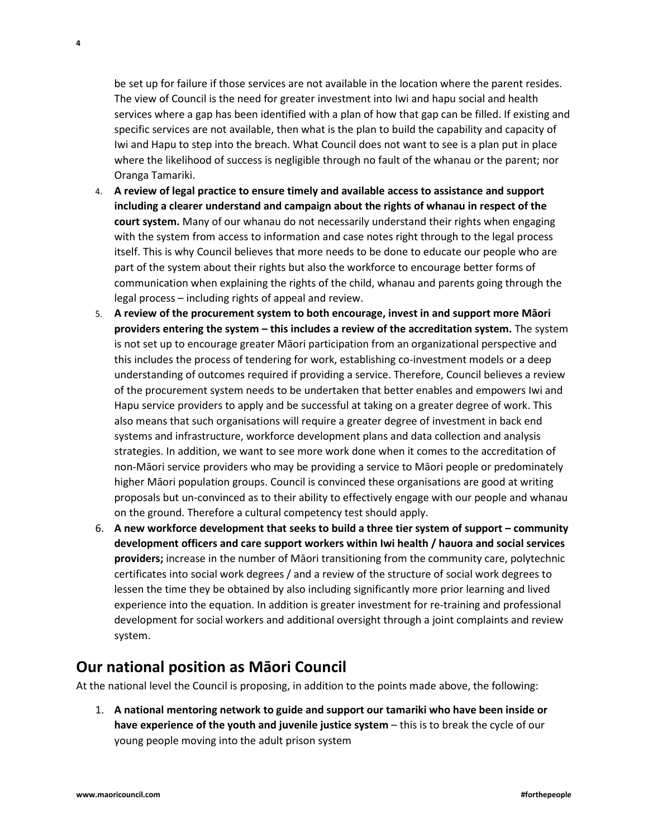be set up for failure if those services are not available in the location where the parent resides. The view of Council is the need for greater investment into Iwi and hapu social and health services where a gap has been identified with a plan of how that gap can be filled. If existing and specific services are not available, then what is the plan to build the capability and capacity of Iwi and Hapu to step into the breach. What Council does not want to see is a plan put in place where the likelihood of success is negligible through no fault of the whanau or the parent; nor Oranga Tamariki.

- 4. **A review of legal practice to ensure timely and available access to assistance and support including a clearer understand and campaign about the rights of whanau in respect of the court system.** Many of our whanau do not necessarily understand their rights when engaging with the system from access to information and case notes right through to the legal process itself. This is why Council believes that more needs to be done to educate our people who are part of the system about their rights but also the workforce to encourage better forms of communication when explaining the rights of the child, whanau and parents going through the legal process – including rights of appeal and review.
- 5. **A review of the procurement system to both encourage, invest in and support more Māori providers entering the system – this includes a review of the accreditation system.** The system is not set up to encourage greater Māori participation from an organizational perspective and this includes the process of tendering for work, establishing co-investment models or a deep understanding of outcomes required if providing a service. Therefore, Council believes a review of the procurement system needs to be undertaken that better enables and empowers Iwi and Hapu service providers to apply and be successful at taking on a greater degree of work. This also means that such organisations will require a greater degree of investment in back end systems and infrastructure, workforce development plans and data collection and analysis strategies. In addition, we want to see more work done when it comes to the accreditation of non-Māori service providers who may be providing a service to Māori people or predominately higher Māori population groups. Council is convinced these organisations are good at writing proposals but un-convinced as to their ability to effectively engage with our people and whanau on the ground. Therefore a cultural competency test should apply.
- 6. **A new workforce development that seeks to build a three tier system of support – community development officers and care support workers within Iwi health / hauora and social services providers;** increase in the number of Māori transitioning from the community care, polytechnic certificates into social work degrees / and a review of the structure of social work degrees to lessen the time they be obtained by also including significantly more prior learning and lived experience into the equation. In addition is greater investment for re-training and professional development for social workers and additional oversight through a joint complaints and review system.

#### <span id="page-3-0"></span>**Our national position as Māori Council**

At the national level the Council is proposing, in addition to the points made above, the following:

1. **A national mentoring network to guide and support our tamariki who have been inside or have experience of the youth and juvenile justice system** – this is to break the cycle of our young people moving into the adult prison system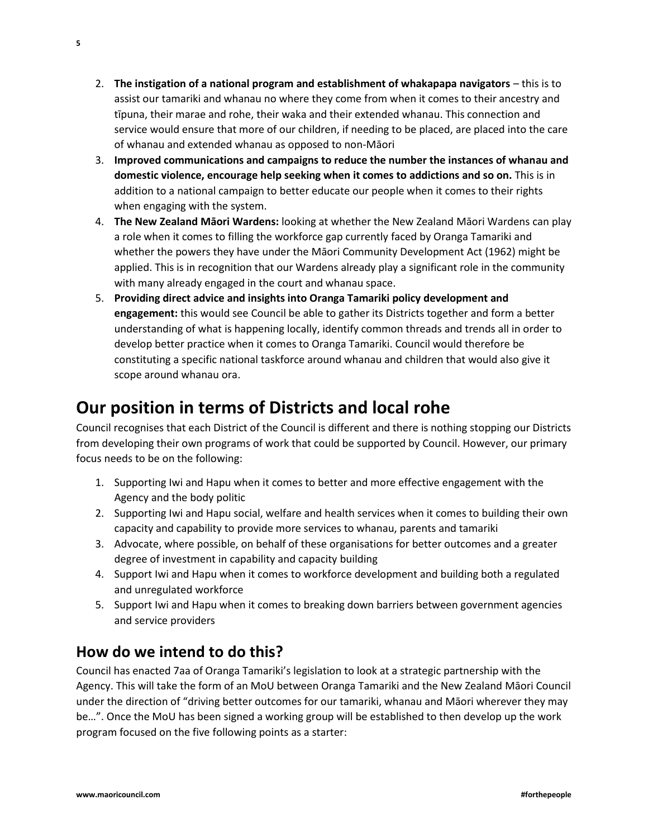- 2. **The instigation of a national program and establishment of whakapapa navigators** this is to assist our tamariki and whanau no where they come from when it comes to their ancestry and tīpuna, their marae and rohe, their waka and their extended whanau. This connection and service would ensure that more of our children, if needing to be placed, are placed into the care of whanau and extended whanau as opposed to non-Māori
- 3. **Improved communications and campaigns to reduce the number the instances of whanau and domestic violence, encourage help seeking when it comes to addictions and so on.** This is in addition to a national campaign to better educate our people when it comes to their rights when engaging with the system.
- 4. **The New Zealand Māori Wardens:** looking at whether the New Zealand Māori Wardens can play a role when it comes to filling the workforce gap currently faced by Oranga Tamariki and whether the powers they have under the Māori Community Development Act (1962) might be applied. This is in recognition that our Wardens already play a significant role in the community with many already engaged in the court and whanau space.
- 5. **Providing direct advice and insights into Oranga Tamariki policy development and engagement:** this would see Council be able to gather its Districts together and form a better understanding of what is happening locally, identify common threads and trends all in order to develop better practice when it comes to Oranga Tamariki. Council would therefore be constituting a specific national taskforce around whanau and children that would also give it scope around whanau ora.

# <span id="page-4-0"></span>**Our position in terms of Districts and local rohe**

Council recognises that each District of the Council is different and there is nothing stopping our Districts from developing their own programs of work that could be supported by Council. However, our primary focus needs to be on the following:

- 1. Supporting Iwi and Hapu when it comes to better and more effective engagement with the Agency and the body politic
- 2. Supporting Iwi and Hapu social, welfare and health services when it comes to building their own capacity and capability to provide more services to whanau, parents and tamariki
- 3. Advocate, where possible, on behalf of these organisations for better outcomes and a greater degree of investment in capability and capacity building
- 4. Support Iwi and Hapu when it comes to workforce development and building both a regulated and unregulated workforce
- 5. Support Iwi and Hapu when it comes to breaking down barriers between government agencies and service providers

## <span id="page-4-1"></span>**How do we intend to do this?**

Council has enacted 7aa of Oranga Tamariki's legislation to look at a strategic partnership with the Agency. This will take the form of an MoU between Oranga Tamariki and the New Zealand Māori Council under the direction of "driving better outcomes for our tamariki, whanau and Māori wherever they may be…". Once the MoU has been signed a working group will be established to then develop up the work program focused on the five following points as a starter: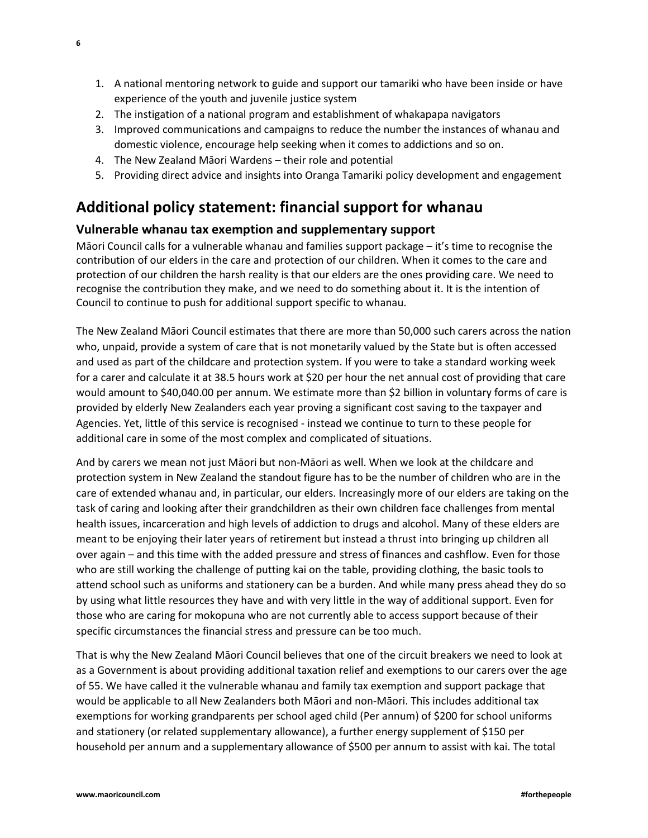- 1. A national mentoring network to guide and support our tamariki who have been inside or have experience of the youth and juvenile justice system
- 2. The instigation of a national program and establishment of whakapapa navigators
- 3. Improved communications and campaigns to reduce the number the instances of whanau and domestic violence, encourage help seeking when it comes to addictions and so on.
- 4. The New Zealand Māori Wardens their role and potential
- 5. Providing direct advice and insights into Oranga Tamariki policy development and engagement

## <span id="page-5-0"></span>**Additional policy statement: financial support for whanau**

#### <span id="page-5-1"></span>**Vulnerable whanau tax exemption and supplementary support**

Māori Council calls for a vulnerable whanau and families support package – it's time to recognise the contribution of our elders in the care and protection of our children. When it comes to the care and protection of our children the harsh reality is that our elders are the ones providing care. We need to recognise the contribution they make, and we need to do something about it. It is the intention of Council to continue to push for additional support specific to whanau.

The New Zealand Māori Council estimates that there are more than 50,000 such carers across the nation who, unpaid, provide a system of care that is not monetarily valued by the State but is often accessed and used as part of the childcare and protection system. If you were to take a standard working week for a carer and calculate it at 38.5 hours work at \$20 per hour the net annual cost of providing that care would amount to \$40,040.00 per annum. We estimate more than \$2 billion in voluntary forms of care is provided by elderly New Zealanders each year proving a significant cost saving to the taxpayer and Agencies. Yet, little of this service is recognised - instead we continue to turn to these people for additional care in some of the most complex and complicated of situations.

And by carers we mean not just Māori but non-Māori as well. When we look at the childcare and protection system in New Zealand the standout figure has to be the number of children who are in the care of extended whanau and, in particular, our elders. Increasingly more of our elders are taking on the task of caring and looking after their grandchildren as their own children face challenges from mental health issues, incarceration and high levels of addiction to drugs and alcohol. Many of these elders are meant to be enjoying their later years of retirement but instead a thrust into bringing up children all over again – and this time with the added pressure and stress of finances and cashflow. Even for those who are still working the challenge of putting kai on the table, providing clothing, the basic tools to attend school such as uniforms and stationery can be a burden. And while many press ahead they do so by using what little resources they have and with very little in the way of additional support. Even for those who are caring for mokopuna who are not currently able to access support because of their specific circumstances the financial stress and pressure can be too much.

That is why the New Zealand Māori Council believes that one of the circuit breakers we need to look at as a Government is about providing additional taxation relief and exemptions to our carers over the age of 55. We have called it the vulnerable whanau and family tax exemption and support package that would be applicable to all New Zealanders both Māori and non-Māori. This includes additional tax exemptions for working grandparents per school aged child (Per annum) of \$200 for school uniforms and stationery (or related supplementary allowance), a further energy supplement of \$150 per household per annum and a supplementary allowance of \$500 per annum to assist with kai. The total